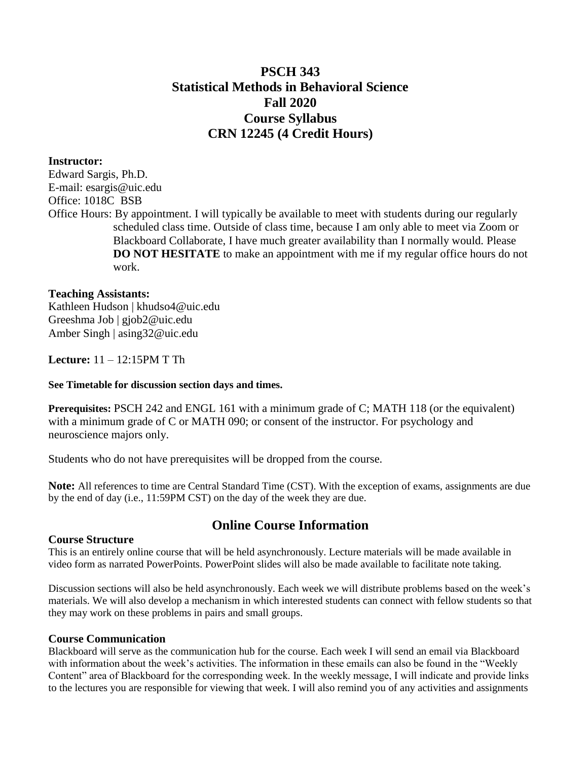# **PSCH 343 Statistical Methods in Behavioral Science Fall 2020 Course Syllabus CRN 12245 (4 Credit Hours)**

## **Instructor:**

Edward Sargis, Ph.D. E-mail: [esargis@uic.edu](mailto:esargis@uic.edu) Office: 1018C BSB Office Hours: By appointment. I will typically be available to meet with students during our regularly scheduled class time. Outside of class time, because I am only able to meet via Zoom or Blackboard Collaborate, I have much greater availability than I normally would. Please **DO NOT HESITATE** to make an appointment with me if my regular office hours do not work.

## **Teaching Assistants:**

Kathleen Hudson | khudso4@uic.edu Greeshma Job | gjob2@uic.edu Amber Singh | asing32@uic.edu

**Lecture:** 11 – 12:15PM T Th

### **See Timetable for discussion section days and times.**

**Prerequisites: PSCH 242 and ENGL 161 with a minimum grade of C; MATH 118 (or the equivalent)** with a minimum grade of C or MATH 090; or consent of the instructor. For psychology and neuroscience majors only.

Students who do not have prerequisites will be dropped from the course.

**Note:** All references to time are Central Standard Time (CST). With the exception of exams, assignments are due by the end of day (i.e., 11:59PM CST) on the day of the week they are due.

# **Online Course Information**

### **Course Structure**

This is an entirely online course that will be held asynchronously. Lecture materials will be made available in video form as narrated PowerPoints. PowerPoint slides will also be made available to facilitate note taking.

Discussion sections will also be held asynchronously. Each week we will distribute problems based on the week's materials. We will also develop a mechanism in which interested students can connect with fellow students so that they may work on these problems in pairs and small groups.

### **Course Communication**

Blackboard will serve as the communication hub for the course. Each week I will send an email via Blackboard with information about the week's activities. The information in these emails can also be found in the "Weekly Content" area of Blackboard for the corresponding week. In the weekly message, I will indicate and provide links to the lectures you are responsible for viewing that week. I will also remind you of any activities and assignments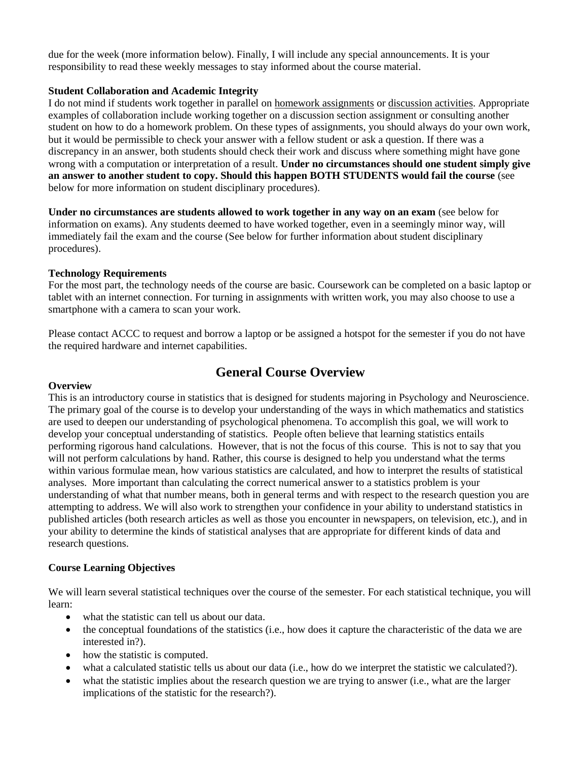due for the week (more information below). Finally, I will include any special announcements. It is your responsibility to read these weekly messages to stay informed about the course material.

### **Student Collaboration and Academic Integrity**

I do not mind if students work together in parallel on homework assignments or discussion activities. Appropriate examples of collaboration include working together on a discussion section assignment or consulting another student on how to do a homework problem. On these types of assignments, you should always do your own work, but it would be permissible to check your answer with a fellow student or ask a question. If there was a discrepancy in an answer, both students should check their work and discuss where something might have gone wrong with a computation or interpretation of a result. **Under no circumstances should one student simply give an answer to another student to copy. Should this happen BOTH STUDENTS would fail the course** (see below for more information on student disciplinary procedures).

**Under no circumstances are students allowed to work together in any way on an exam** (see below for information on exams). Any students deemed to have worked together, even in a seemingly minor way, will immediately fail the exam and the course (See below for further information about student disciplinary procedures).

### **Technology Requirements**

For the most part, the technology needs of the course are basic. Coursework can be completed on a basic laptop or tablet with an internet connection. For turning in assignments with written work, you may also choose to use a smartphone with a camera to scan your work.

Please contact ACCC to request and borrow a laptop or be assigned a hotspot for the semester if you do not have the required hardware and internet capabilities.

# **General Course Overview**

#### **Overview**

This is an introductory course in statistics that is designed for students majoring in Psychology and Neuroscience. The primary goal of the course is to develop your understanding of the ways in which mathematics and statistics are used to deepen our understanding of psychological phenomena. To accomplish this goal, we will work to develop your conceptual understanding of statistics. People often believe that learning statistics entails performing rigorous hand calculations. However, that is not the focus of this course. This is not to say that you will not perform calculations by hand. Rather, this course is designed to help you understand what the terms within various formulae mean, how various statistics are calculated, and how to interpret the results of statistical analyses. More important than calculating the correct numerical answer to a statistics problem is your understanding of what that number means, both in general terms and with respect to the research question you are attempting to address. We will also work to strengthen your confidence in your ability to understand statistics in published articles (both research articles as well as those you encounter in newspapers, on television, etc.), and in your ability to determine the kinds of statistical analyses that are appropriate for different kinds of data and research questions.

### **Course Learning Objectives**

We will learn several statistical techniques over the course of the semester. For each statistical technique, you will learn:

- what the statistic can tell us about our data.
- $\bullet$  the conceptual foundations of the statistics (i.e., how does it capture the characteristic of the data we are interested in?).
- how the statistic is computed.
- what a calculated statistic tells us about our data (i.e., how do we interpret the statistic we calculated?).
- what the statistic implies about the research question we are trying to answer (i.e., what are the larger implications of the statistic for the research?).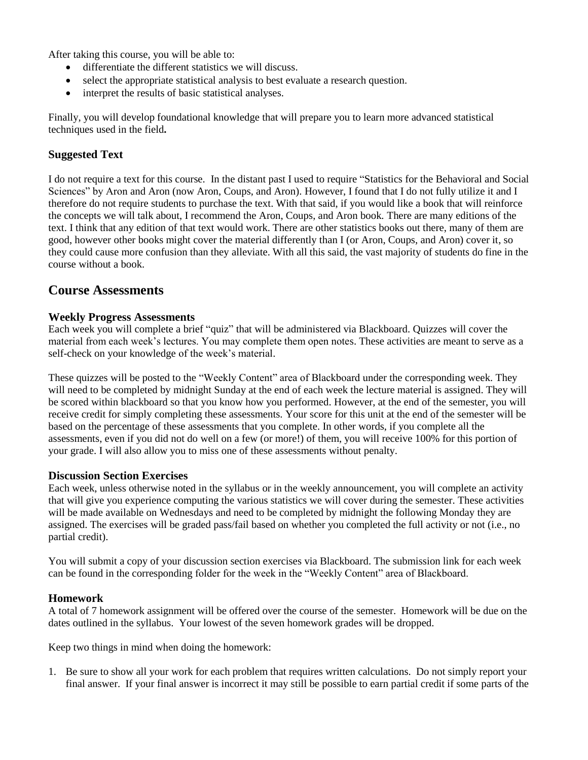After taking this course, you will be able to:

- differentiate the different statistics we will discuss.
- select the appropriate statistical analysis to best evaluate a research question.
- interpret the results of basic statistical analyses.

Finally, you will develop foundational knowledge that will prepare you to learn more advanced statistical techniques used in the field**.**

## **Suggested Text**

I do not require a text for this course. In the distant past I used to require "Statistics for the Behavioral and Social Sciences" by Aron and Aron (now Aron, Coups, and Aron). However, I found that I do not fully utilize it and I therefore do not require students to purchase the text. With that said, if you would like a book that will reinforce the concepts we will talk about, I recommend the Aron, Coups, and Aron book. There are many editions of the text. I think that any edition of that text would work. There are other statistics books out there, many of them are good, however other books might cover the material differently than I (or Aron, Coups, and Aron) cover it, so they could cause more confusion than they alleviate. With all this said, the vast majority of students do fine in the course without a book.

# **Course Assessments**

### **Weekly Progress Assessments**

Each week you will complete a brief "quiz" that will be administered via Blackboard. Quizzes will cover the material from each week's lectures. You may complete them open notes. These activities are meant to serve as a self-check on your knowledge of the week's material.

These quizzes will be posted to the "Weekly Content" area of Blackboard under the corresponding week. They will need to be completed by midnight Sunday at the end of each week the lecture material is assigned. They will be scored within blackboard so that you know how you performed. However, at the end of the semester, you will receive credit for simply completing these assessments. Your score for this unit at the end of the semester will be based on the percentage of these assessments that you complete. In other words, if you complete all the assessments, even if you did not do well on a few (or more!) of them, you will receive 100% for this portion of your grade. I will also allow you to miss one of these assessments without penalty.

### **Discussion Section Exercises**

Each week, unless otherwise noted in the syllabus or in the weekly announcement, you will complete an activity that will give you experience computing the various statistics we will cover during the semester. These activities will be made available on Wednesdays and need to be completed by midnight the following Monday they are assigned. The exercises will be graded pass/fail based on whether you completed the full activity or not (i.e., no partial credit).

You will submit a copy of your discussion section exercises via Blackboard. The submission link for each week can be found in the corresponding folder for the week in the "Weekly Content" area of Blackboard.

### **Homework**

A total of 7 homework assignment will be offered over the course of the semester. Homework will be due on the dates outlined in the syllabus. Your lowest of the seven homework grades will be dropped.

Keep two things in mind when doing the homework:

1. Be sure to show all your work for each problem that requires written calculations. Do not simply report your final answer. If your final answer is incorrect it may still be possible to earn partial credit if some parts of the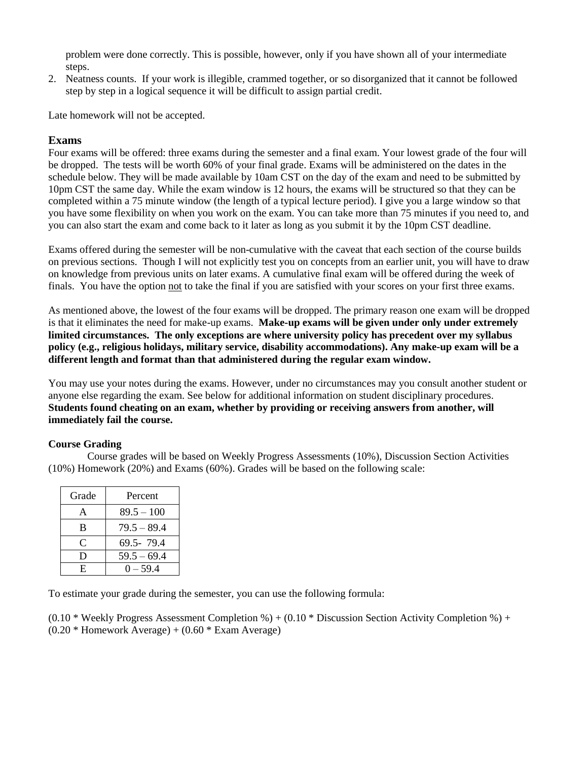problem were done correctly. This is possible, however, only if you have shown all of your intermediate steps.

2. Neatness counts. If your work is illegible, crammed together, or so disorganized that it cannot be followed step by step in a logical sequence it will be difficult to assign partial credit.

Late homework will not be accepted.

# **Exams**

Four exams will be offered: three exams during the semester and a final exam. Your lowest grade of the four will be dropped. The tests will be worth 60% of your final grade. Exams will be administered on the dates in the schedule below. They will be made available by 10am CST on the day of the exam and need to be submitted by 10pm CST the same day. While the exam window is 12 hours, the exams will be structured so that they can be completed within a 75 minute window (the length of a typical lecture period). I give you a large window so that you have some flexibility on when you work on the exam. You can take more than 75 minutes if you need to, and you can also start the exam and come back to it later as long as you submit it by the 10pm CST deadline.

Exams offered during the semester will be non-cumulative with the caveat that each section of the course builds on previous sections. Though I will not explicitly test you on concepts from an earlier unit, you will have to draw on knowledge from previous units on later exams. A cumulative final exam will be offered during the week of finals. You have the option not to take the final if you are satisfied with your scores on your first three exams.

As mentioned above, the lowest of the four exams will be dropped. The primary reason one exam will be dropped is that it eliminates the need for make-up exams. **Make-up exams will be given under only under extremely limited circumstances. The only exceptions are where university policy has precedent over my syllabus policy (e.g., religious holidays, military service, disability accommodations). Any make-up exam will be a different length and format than that administered during the regular exam window.** 

You may use your notes during the exams. However, under no circumstances may you consult another student or anyone else regarding the exam. See below for additional information on student disciplinary procedures. **Students found cheating on an exam, whether by providing or receiving answers from another, will immediately fail the course.**

### **Course Grading**

Course grades will be based on Weekly Progress Assessments (10%), Discussion Section Activities (10%) Homework (20%) and Exams (60%). Grades will be based on the following scale:

| Grade | Percent       |
|-------|---------------|
| A     | $89.5 - 100$  |
| B     | $79.5 - 89.4$ |
| C     | 69.5-79.4     |
| D     | $59.5 - 69.4$ |
| E.    | $0 - 59.4$    |

To estimate your grade during the semester, you can use the following formula:

 $(0.10 * \text{Weakly Progress Assessment completion } \%) + (0.10 * \text{Discussion Section Activity completion } \%) +$  $(0.20 *$  Homework Average) +  $(0.60 *$  Exam Average)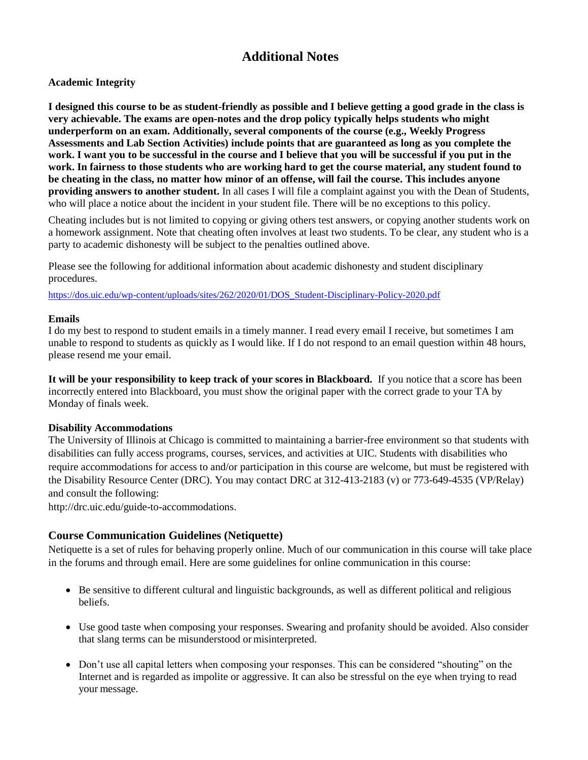# **Additional Notes**

## **Academic Integrity**

**I designed this course to be as student-friendly as possible and I believe getting a good grade in the class is very achievable. The exams are open-notes and the drop policy typically helps students who might underperform on an exam. Additionally, several components of the course (e.g., Weekly Progress Assessments and Lab Section Activities) include points that are guaranteed as long as you complete the work. I want you to be successful in the course and I believe that you will be successful if you put in the work. In fairness to those students who are working hard to get the course material, any student found to be cheating in the class, no matter how minor of an offense, will fail the course. This includes anyone providing answers to another student.** In all cases I will file a complaint against you with the Dean of Students, who will place a notice about the incident in your student file. There will be no exceptions to this policy.

Cheating includes but is not limited to copying or giving others test answers, or copying another students work on a homework assignment. Note that cheating often involves at least two students. To be clear, any student who is a party to academic dishonesty will be subject to the penalties outlined above.

Please see the following for additional information about academic dishonesty and student disciplinary procedures.

[https://dos.uic.edu/wp-content/uploads/sites/262/2020/01/DOS\\_Student-Disciplinary-Policy-2020.pdf](https://dos.uic.edu/wp-content/uploads/sites/262/2020/01/DOS_Student-Disciplinary-Policy-2020.pdf)

### **Emails**

I do my best to respond to student emails in a timely manner. I read every email I receive, but sometimes I am unable to respond to students as quickly as I would like. If I do not respond to an email question within 48 hours, please resend me your email.

**It will be your responsibility to keep track of your scores in Blackboard.** If you notice that a score has been incorrectly entered into Blackboard, you must show the original paper with the correct grade to your TA by Monday of finals week.

### **Disability Accommodations**

The University of Illinois at Chicago is committed to maintaining a barrier-free environment so that students with disabilities can fully access programs, courses, services, and activities at UIC. Students with disabilities who require accommodations for access to and/or participation in this course are welcome, but must be registered with the Disability Resource Center (DRC). You may contact DRC at 312-413-2183 (v) or 773-649-4535 (VP/Relay) and consult the following:

[http://drc.uic.edu/guide-to-accommodations.](http://drc.uic.edu/guide-to-accommodations)

# **Course Communication Guidelines (Netiquette)**

Netiquette is a set of rules for behaving properly online. Much of our communication in this course will take place in the forums and through email. Here are some guidelines for online communication in this course:

- Be sensitive to different cultural and linguistic backgrounds, as well as different political and religious beliefs.
- Use good taste when composing your responses. Swearing and profanity should be avoided. Also consider that slang terms can be misunderstood or misinterpreted.
- Don't use all capital letters when composing your responses. This can be considered "shouting" on the Internet and is regarded as impolite or aggressive. It can also be stressful on the eye when trying to read your message.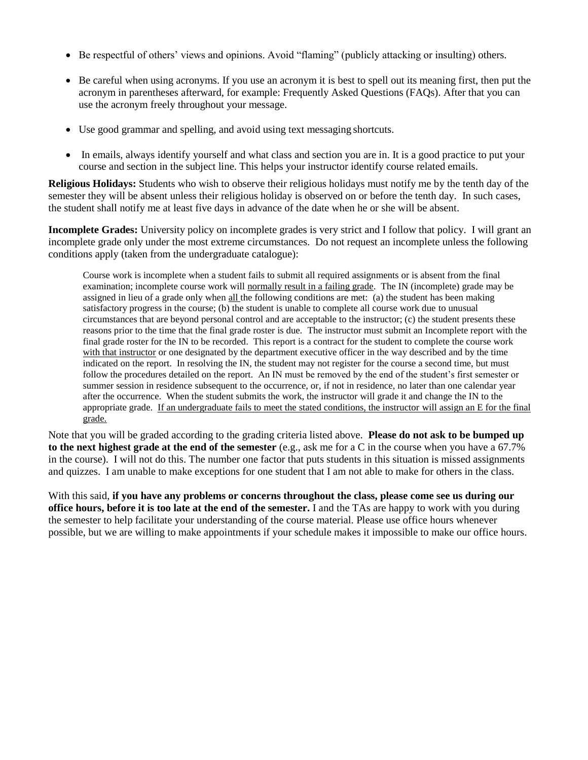- Be respectful of others' views and opinions. Avoid "flaming" (publicly attacking or insulting) others.
- Be careful when using acronyms. If you use an acronym it is best to spell out its meaning first, then put the acronym in parentheses afterward, for example: Frequently Asked Questions (FAQs). After that you can use the acronym freely throughout your message.
- Use good grammar and spelling, and avoid using text messaging shortcuts.
- In emails, always identify yourself and what class and section you are in. It is a good practice to put your course and section in the subject line. This helps your instructor identify course related emails.

**Religious Holidays:** Students who wish to observe their religious holidays must notify me by the tenth day of the semester they will be absent unless their religious holiday is observed on or before the tenth day. In such cases, the student shall notify me at least five days in advance of the date when he or she will be absent.

**Incomplete Grades:** University policy on incomplete grades is very strict and I follow that policy. I will grant an incomplete grade only under the most extreme circumstances. Do not request an incomplete unless the following conditions apply (taken from the undergraduate catalogue):

Course work is incomplete when a student fails to submit all required assignments or is absent from the final examination; incomplete course work will normally result in a failing grade. The IN (incomplete) grade may be assigned in lieu of a grade only when all the following conditions are met: (a) the student has been making satisfactory progress in the course; (b) the student is unable to complete all course work due to unusual circumstances that are beyond personal control and are acceptable to the instructor; (c) the student presents these reasons prior to the time that the final grade roster is due. The instructor must submit an Incomplete report with the final grade roster for the IN to be recorded. This report is a contract for the student to complete the course work with that instructor or one designated by the department executive officer in the way described and by the time indicated on the report. In resolving the IN, the student may not register for the course a second time, but must follow the procedures detailed on the report. An IN must be removed by the end of the student's first semester or summer session in residence subsequent to the occurrence, or, if not in residence, no later than one calendar year after the occurrence. When the student submits the work, the instructor will grade it and change the IN to the appropriate grade. If an undergraduate fails to meet the stated conditions, the instructor will assign an E for the final grade.

Note that you will be graded according to the grading criteria listed above. **Please do not ask to be bumped up to the next highest grade at the end of the semester** (e.g., ask me for a C in the course when you have a 67.7% in the course). I will not do this. The number one factor that puts students in this situation is missed assignments and quizzes. I am unable to make exceptions for one student that I am not able to make for others in the class.

With this said, **if you have any problems or concerns throughout the class, please come see us during our office hours, before it is too late at the end of the semester.** I and the TAs are happy to work with you during the semester to help facilitate your understanding of the course material. Please use office hours whenever possible, but we are willing to make appointments if your schedule makes it impossible to make our office hours.